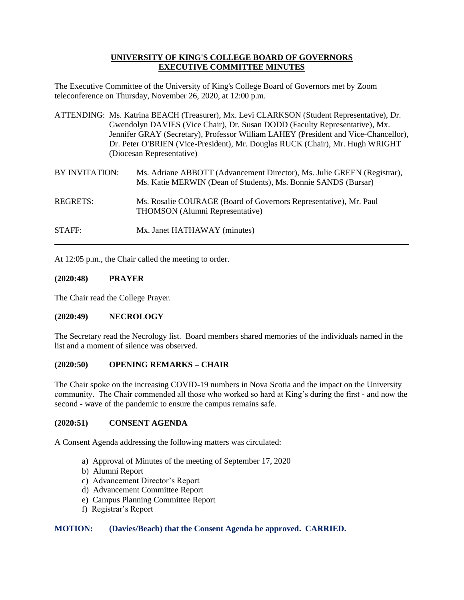## **UNIVERSITY OF KING'S COLLEGE BOARD OF GOVERNORS EXECUTIVE COMMITTEE MINUTES**

The Executive Committee of the University of King's College Board of Governors met by Zoom teleconference on Thursday, November 26, 2020, at 12:00 p.m.

- ATTENDING: Ms. Katrina BEACH (Treasurer), Mx. Levi CLARKSON (Student Representative), Dr. Gwendolyn DAVIES (Vice Chair), Dr. Susan DODD (Faculty Representative), Mx. Jennifer GRAY (Secretary), Professor William LAHEY (President and Vice-Chancellor), Dr. Peter O'BRIEN (Vice-President), Mr. Douglas RUCK (Chair), Mr. Hugh WRIGHT (Diocesan Representative)
- BY INVITATION: Ms. Adriane ABBOTT (Advancement Director), Ms. Julie GREEN (Registrar), Ms. Katie MERWIN (Dean of Students), Ms. Bonnie SANDS (Bursar) REGRETS: Ms. Rosalie COURAGE (Board of Governors Representative), Mr. Paul
- THOMSON (Alumni Representative)

STAFF: Mx. Janet HATHAWAY (minutes)

At 12:05 p.m., the Chair called the meeting to order.

## **(2020:48) PRAYER**

The Chair read the College Prayer.

# **(2020:49) NECROLOGY**

The Secretary read the Necrology list. Board members shared memories of the individuals named in the list and a moment of silence was observed.

## **(2020:50) OPENING REMARKS – CHAIR**

The Chair spoke on the increasing COVID-19 numbers in Nova Scotia and the impact on the University community. The Chair commended all those who worked so hard at King's during the first - and now the second - wave of the pandemic to ensure the campus remains safe.

## **(2020:51) CONSENT AGENDA**

A Consent Agenda addressing the following matters was circulated:

- a) Approval of Minutes of the meeting of September 17, 2020
- b) Alumni Report
- c) Advancement Director's Report
- d) Advancement Committee Report
- e) Campus Planning Committee Report
- f) Registrar's Report

## **MOTION: (Davies/Beach) that the Consent Agenda be approved. CARRIED.**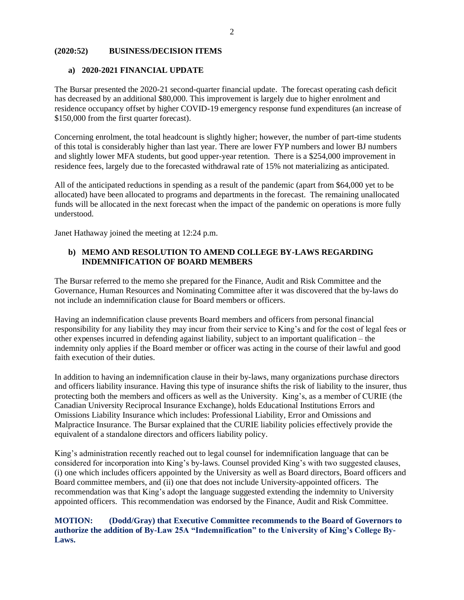## **(2020:52) BUSINESS/DECISION ITEMS**

#### **a) 2020-2021 FINANCIAL UPDATE**

The Bursar presented the 2020-21 second-quarter financial update. The forecast operating cash deficit has decreased by an additional \$80,000. This improvement is largely due to higher enrolment and residence occupancy offset by higher COVID-19 emergency response fund expenditures (an increase of \$150,000 from the first quarter forecast).

Concerning enrolment, the total headcount is slightly higher; however, the number of part-time students of this total is considerably higher than last year. There are lower FYP numbers and lower BJ numbers and slightly lower MFA students, but good upper-year retention. There is a \$254,000 improvement in residence fees, largely due to the forecasted withdrawal rate of 15% not materializing as anticipated.

All of the anticipated reductions in spending as a result of the pandemic (apart from \$64,000 yet to be allocated) have been allocated to programs and departments in the forecast. The remaining unallocated funds will be allocated in the next forecast when the impact of the pandemic on operations is more fully understood.

Janet Hathaway joined the meeting at 12:24 p.m.

## **b) MEMO AND RESOLUTION TO AMEND COLLEGE BY-LAWS REGARDING INDEMNIFICATION OF BOARD MEMBERS**

The Bursar referred to the memo she prepared for the Finance, Audit and Risk Committee and the Governance, Human Resources and Nominating Committee after it was discovered that the by-laws do not include an indemnification clause for Board members or officers.

Having an indemnification clause prevents Board members and officers from personal financial responsibility for any liability they may incur from their service to King's and for the cost of legal fees or other expenses incurred in defending against liability, subject to an important qualification – the indemnity only applies if the Board member or officer was acting in the course of their lawful and good faith execution of their duties.

In addition to having an indemnification clause in their by-laws, many organizations purchase directors and officers liability insurance. Having this type of insurance shifts the risk of liability to the insurer, thus protecting both the members and officers as well as the University. King's, as a member of CURIE (the Canadian University Reciprocal Insurance Exchange), holds Educational Institutions Errors and Omissions Liability Insurance which includes: Professional Liability, Error and Omissions and Malpractice Insurance. The Bursar explained that the CURIE liability policies effectively provide the equivalent of a standalone directors and officers liability policy.

King's administration recently reached out to legal counsel for indemnification language that can be considered for incorporation into King's by-laws. Counsel provided King's with two suggested clauses, (i) one which includes officers appointed by the University as well as Board directors, Board officers and Board committee members, and (ii) one that does not include University-appointed officers. The recommendation was that King's adopt the language suggested extending the indemnity to University appointed officers. This recommendation was endorsed by the Finance, Audit and Risk Committee.

**MOTION: (Dodd/Gray) that Executive Committee recommends to the Board of Governors to authorize the addition of By-Law 25A "Indemnification" to the University of King's College By-Laws.**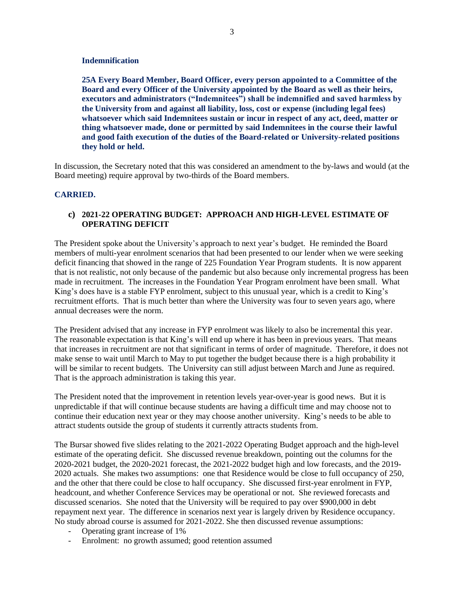#### **Indemnification**

**25A Every Board Member, Board Officer, every person appointed to a Committee of the Board and every Officer of the University appointed by the Board as well as their heirs, executors and administrators ("Indemnitees") shall be indemnified and saved harmless by the University from and against all liability, loss, cost or expense (including legal fees) whatsoever which said Indemnitees sustain or incur in respect of any act, deed, matter or thing whatsoever made, done or permitted by said Indemnitees in the course their lawful and good faith execution of the duties of the Board-related or University-related positions they hold or held.**

In discussion, the Secretary noted that this was considered an amendment to the by-laws and would (at the Board meeting) require approval by two-thirds of the Board members.

#### **CARRIED.**

## **c) 2021-22 OPERATING BUDGET: APPROACH AND HIGH-LEVEL ESTIMATE OF OPERATING DEFICIT**

The President spoke about the University's approach to next year's budget. He reminded the Board members of multi-year enrolment scenarios that had been presented to our lender when we were seeking deficit financing that showed in the range of 225 Foundation Year Program students. It is now apparent that is not realistic, not only because of the pandemic but also because only incremental progress has been made in recruitment. The increases in the Foundation Year Program enrolment have been small. What King's does have is a stable FYP enrolment, subject to this unusual year, which is a credit to King's recruitment efforts. That is much better than where the University was four to seven years ago, where annual decreases were the norm.

The President advised that any increase in FYP enrolment was likely to also be incremental this year. The reasonable expectation is that King's will end up where it has been in previous years. That means that increases in recruitment are not that significant in terms of order of magnitude. Therefore, it does not make sense to wait until March to May to put together the budget because there is a high probability it will be similar to recent budgets. The University can still adjust between March and June as required. That is the approach administration is taking this year.

The President noted that the improvement in retention levels year-over-year is good news. But it is unpredictable if that will continue because students are having a difficult time and may choose not to continue their education next year or they may choose another university. King's needs to be able to attract students outside the group of students it currently attracts students from.

The Bursar showed five slides relating to the 2021-2022 Operating Budget approach and the high-level estimate of the operating deficit. She discussed revenue breakdown, pointing out the columns for the 2020-2021 budget, the 2020-2021 forecast, the 2021-2022 budget high and low forecasts, and the 2019- 2020 actuals. She makes two assumptions: one that Residence would be close to full occupancy of 250, and the other that there could be close to half occupancy. She discussed first-year enrolment in FYP, headcount, and whether Conference Services may be operational or not. She reviewed forecasts and discussed scenarios. She noted that the University will be required to pay over \$900,000 in debt repayment next year. The difference in scenarios next year is largely driven by Residence occupancy. No study abroad course is assumed for 2021-2022. She then discussed revenue assumptions:

- Operating grant increase of 1%
- Enrolment: no growth assumed; good retention assumed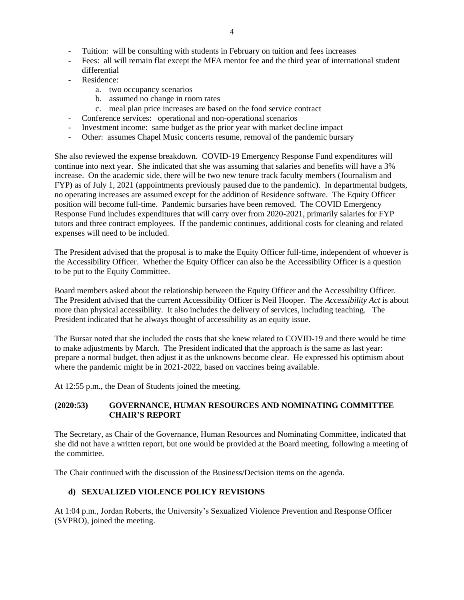- Tuition: will be consulting with students in February on tuition and fees increases
- Fees: all will remain flat except the MFA mentor fee and the third year of international student differential
- Residence:
	- a. two occupancy scenarios
	- b. assumed no change in room rates
	- c. meal plan price increases are based on the food service contract
- Conference services: operational and non-operational scenarios
- Investment income: same budget as the prior year with market decline impact
- Other: assumes Chapel Music concerts resume, removal of the pandemic bursary

She also reviewed the expense breakdown. COVID-19 Emergency Response Fund expenditures will continue into next year. She indicated that she was assuming that salaries and benefits will have a 3% increase. On the academic side, there will be two new tenure track faculty members (Journalism and FYP) as of July 1, 2021 (appointments previously paused due to the pandemic). In departmental budgets, no operating increases are assumed except for the addition of Residence software. The Equity Officer position will become full-time. Pandemic bursaries have been removed. The COVID Emergency Response Fund includes expenditures that will carry over from 2020-2021, primarily salaries for FYP tutors and three contract employees. If the pandemic continues, additional costs for cleaning and related expenses will need to be included.

The President advised that the proposal is to make the Equity Officer full-time, independent of whoever is the Accessibility Officer. Whether the Equity Officer can also be the Accessibility Officer is a question to be put to the Equity Committee.

Board members asked about the relationship between the Equity Officer and the Accessibility Officer. The President advised that the current Accessibility Officer is Neil Hooper. The *Accessibility Act* is about more than physical accessibility. It also includes the delivery of services, including teaching. The President indicated that he always thought of accessibility as an equity issue.

The Bursar noted that she included the costs that she knew related to COVID-19 and there would be time to make adjustments by March. The President indicated that the approach is the same as last year: prepare a normal budget, then adjust it as the unknowns become clear. He expressed his optimism about where the pandemic might be in 2021-2022, based on vaccines being available.

At 12:55 p.m., the Dean of Students joined the meeting.

## **(2020:53) GOVERNANCE, HUMAN RESOURCES AND NOMINATING COMMITTEE CHAIR'S REPORT**

The Secretary, as Chair of the Governance, Human Resources and Nominating Committee, indicated that she did not have a written report, but one would be provided at the Board meeting, following a meeting of the committee.

The Chair continued with the discussion of the Business/Decision items on the agenda.

# **d) SEXUALIZED VIOLENCE POLICY REVISIONS**

At 1:04 p.m., Jordan Roberts, the University's Sexualized Violence Prevention and Response Officer (SVPRO), joined the meeting.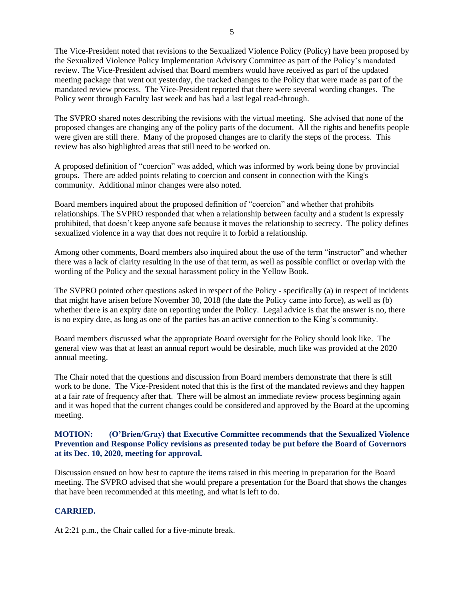The Vice-President noted that revisions to the Sexualized Violence Policy (Policy) have been proposed by the Sexualized Violence Policy Implementation Advisory Committee as part of the Policy's mandated review. The Vice-President advised that Board members would have received as part of the updated meeting package that went out yesterday, the tracked changes to the Policy that were made as part of the mandated review process. The Vice-President reported that there were several wording changes. The Policy went through Faculty last week and has had a last legal read-through.

The SVPRO shared notes describing the revisions with the virtual meeting. She advised that none of the proposed changes are changing any of the policy parts of the document. All the rights and benefits people were given are still there. Many of the proposed changes are to clarify the steps of the process. This review has also highlighted areas that still need to be worked on.

A proposed definition of "coercion" was added, which was informed by work being done by provincial groups. There are added points relating to coercion and consent in connection with the King's community. Additional minor changes were also noted.

Board members inquired about the proposed definition of "coercion" and whether that prohibits relationships. The SVPRO responded that when a relationship between faculty and a student is expressly prohibited, that doesn't keep anyone safe because it moves the relationship to secrecy. The policy defines sexualized violence in a way that does not require it to forbid a relationship.

Among other comments, Board members also inquired about the use of the term "instructor" and whether there was a lack of clarity resulting in the use of that term, as well as possible conflict or overlap with the wording of the Policy and the sexual harassment policy in the Yellow Book.

The SVPRO pointed other questions asked in respect of the Policy - specifically (a) in respect of incidents that might have arisen before November 30, 2018 (the date the Policy came into force), as well as (b) whether there is an expiry date on reporting under the Policy. Legal advice is that the answer is no, there is no expiry date, as long as one of the parties has an active connection to the King's community.

Board members discussed what the appropriate Board oversight for the Policy should look like. The general view was that at least an annual report would be desirable, much like was provided at the 2020 annual meeting.

The Chair noted that the questions and discussion from Board members demonstrate that there is still work to be done. The Vice-President noted that this is the first of the mandated reviews and they happen at a fair rate of frequency after that. There will be almost an immediate review process beginning again and it was hoped that the current changes could be considered and approved by the Board at the upcoming meeting.

## **MOTION: (O'Brien/Gray) that Executive Committee recommends that the Sexualized Violence Prevention and Response Policy revisions as presented today be put before the Board of Governors at its Dec. 10, 2020, meeting for approval.**

Discussion ensued on how best to capture the items raised in this meeting in preparation for the Board meeting. The SVPRO advised that she would prepare a presentation for the Board that shows the changes that have been recommended at this meeting, and what is left to do.

# **CARRIED.**

At 2:21 p.m., the Chair called for a five-minute break.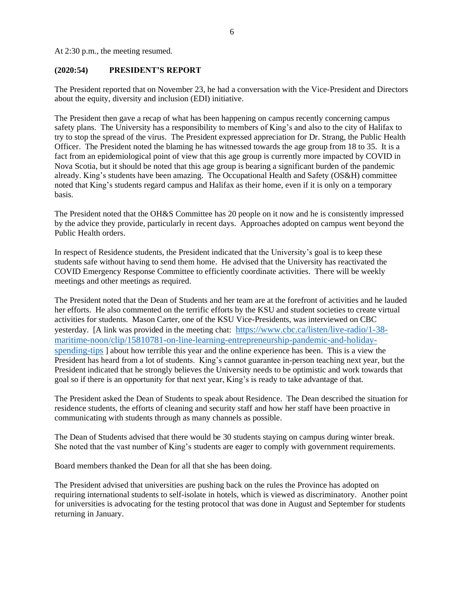At 2:30 p.m., the meeting resumed.

#### **(2020:54) PRESIDENT'S REPORT**

The President reported that on November 23, he had a conversation with the Vice-President and Directors about the equity, diversity and inclusion (EDI) initiative.

The President then gave a recap of what has been happening on campus recently concerning campus safety plans. The University has a responsibility to members of King's and also to the city of Halifax to try to stop the spread of the virus. The President expressed appreciation for Dr. Strang, the Public Health Officer. The President noted the blaming he has witnessed towards the age group from 18 to 35. It is a fact from an epidemiological point of view that this age group is currently more impacted by COVID in Nova Scotia, but it should be noted that this age group is bearing a significant burden of the pandemic already. King's students have been amazing. The Occupational Health and Safety (OS&H) committee noted that King's students regard campus and Halifax as their home, even if it is only on a temporary basis.

The President noted that the OH&S Committee has 20 people on it now and he is consistently impressed by the advice they provide, particularly in recent days. Approaches adopted on campus went beyond the Public Health orders.

In respect of Residence students, the President indicated that the University's goal is to keep these students safe without having to send them home. He advised that the University has reactivated the COVID Emergency Response Committee to efficiently coordinate activities. There will be weekly meetings and other meetings as required.

The President noted that the Dean of Students and her team are at the forefront of activities and he lauded her efforts. He also commented on the terrific efforts by the KSU and student societies to create virtual activities for students. Mason Carter, one of the KSU Vice-Presidents, was interviewed on CBC yesterday. [A link was provided in the meeting chat: [https://www.cbc.ca/listen/live-radio/1-38](https://www.cbc.ca/listen/live-radio/1-38-maritime-noon/clip/15810781-on-line-learning-entrepreneurship-pandemic-and-holiday-spending-tips) [maritime-noon/clip/15810781-on-line-learning-entrepreneurship-pandemic-and-holiday](https://www.cbc.ca/listen/live-radio/1-38-maritime-noon/clip/15810781-on-line-learning-entrepreneurship-pandemic-and-holiday-spending-tips)[spending-tips](https://www.cbc.ca/listen/live-radio/1-38-maritime-noon/clip/15810781-on-line-learning-entrepreneurship-pandemic-and-holiday-spending-tips) ] about how terrible this year and the online experience has been. This is a view the President has heard from a lot of students. King's cannot guarantee in-person teaching next year, but the President indicated that he strongly believes the University needs to be optimistic and work towards that goal so if there is an opportunity for that next year, King's is ready to take advantage of that.

The President asked the Dean of Students to speak about Residence. The Dean described the situation for residence students, the efforts of cleaning and security staff and how her staff have been proactive in communicating with students through as many channels as possible.

The Dean of Students advised that there would be 30 students staying on campus during winter break. She noted that the vast number of King's students are eager to comply with government requirements.

Board members thanked the Dean for all that she has been doing.

The President advised that universities are pushing back on the rules the Province has adopted on requiring international students to self-isolate in hotels, which is viewed as discriminatory. Another point for universities is advocating for the testing protocol that was done in August and September for students returning in January.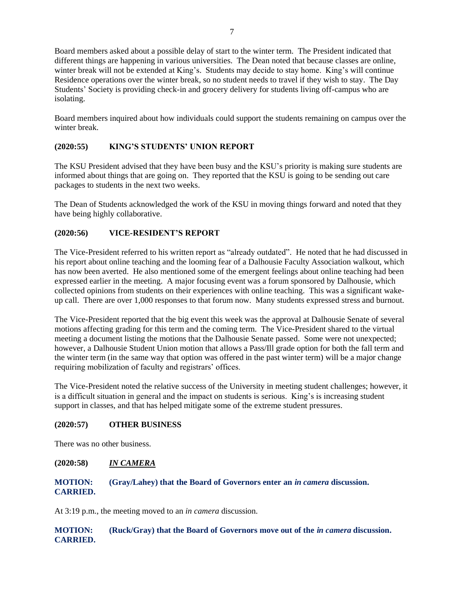Board members asked about a possible delay of start to the winter term. The President indicated that different things are happening in various universities. The Dean noted that because classes are online, winter break will not be extended at King's. Students may decide to stay home. King's will continue Residence operations over the winter break, so no student needs to travel if they wish to stay. The Day Students' Society is providing check-in and grocery delivery for students living off-campus who are isolating.

Board members inquired about how individuals could support the students remaining on campus over the winter break.

## **(2020:55) KING'S STUDENTS' UNION REPORT**

The KSU President advised that they have been busy and the KSU's priority is making sure students are informed about things that are going on. They reported that the KSU is going to be sending out care packages to students in the next two weeks.

The Dean of Students acknowledged the work of the KSU in moving things forward and noted that they have being highly collaborative.

## **(2020:56) VICE-RESIDENT'S REPORT**

The Vice-President referred to his written report as "already outdated". He noted that he had discussed in his report about online teaching and the looming fear of a Dalhousie Faculty Association walkout, which has now been averted. He also mentioned some of the emergent feelings about online teaching had been expressed earlier in the meeting. A major focusing event was a forum sponsored by Dalhousie, which collected opinions from students on their experiences with online teaching. This was a significant wakeup call. There are over 1,000 responses to that forum now. Many students expressed stress and burnout.

The Vice-President reported that the big event this week was the approval at Dalhousie Senate of several motions affecting grading for this term and the coming term. The Vice-President shared to the virtual meeting a document listing the motions that the Dalhousie Senate passed. Some were not unexpected; however, a Dalhousie Student Union motion that allows a Pass/Ill grade option for both the fall term and the winter term (in the same way that option was offered in the past winter term) will be a major change requiring mobilization of faculty and registrars' offices.

The Vice-President noted the relative success of the University in meeting student challenges; however, it is a difficult situation in general and the impact on students is serious. King's is increasing student support in classes, and that has helped mitigate some of the extreme student pressures.

## **(2020:57) OTHER BUSINESS**

There was no other business.

## **(2020:58)** *IN CAMERA*

## **MOTION: (Gray/Lahey) that the Board of Governors enter an** *in camera* **discussion. CARRIED.**

At 3:19 p.m., the meeting moved to an *in camera* discussion.

## **MOTION: (Ruck/Gray) that the Board of Governors move out of the** *in camera* **discussion. CARRIED.**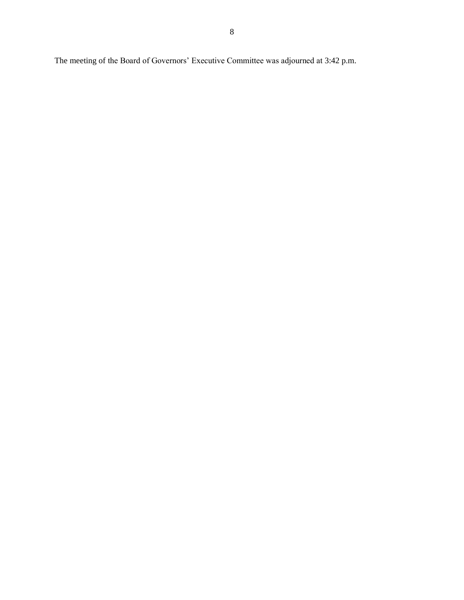The meeting of the Board of Governors' Executive Committee was adjourned at 3:42 p.m.